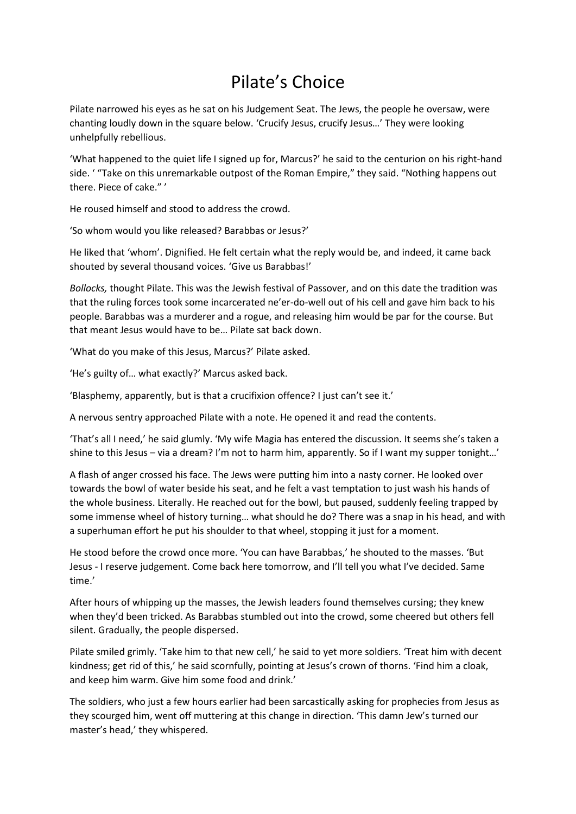## Pilate's Choice

Pilate narrowed his eyes as he sat on his Judgement Seat. The Jews, the people he oversaw, were chanting loudly down in the square below. 'Crucify Jesus, crucify Jesus…' They were looking unhelpfully rebellious.

'What happened to the quiet life I signed up for, Marcus?' he said to the centurion on his right-hand side. ' "Take on this unremarkable outpost of the Roman Empire," they said. "Nothing happens out there. Piece of cake." '

He roused himself and stood to address the crowd.

'So whom would you like released? Barabbas or Jesus?'

He liked that 'whom'. Dignified. He felt certain what the reply would be, and indeed, it came back shouted by several thousand voices. 'Give us Barabbas!'

*Bollocks,* thought Pilate. This was the Jewish festival of Passover, and on this date the tradition was that the ruling forces took some incarcerated ne'er-do-well out of his cell and gave him back to his people. Barabbas was a murderer and a rogue, and releasing him would be par for the course. But that meant Jesus would have to be… Pilate sat back down.

'What do you make of this Jesus, Marcus?' Pilate asked.

'He's guilty of… what exactly?' Marcus asked back.

'Blasphemy, apparently, but is that a crucifixion offence? I just can't see it.'

A nervous sentry approached Pilate with a note. He opened it and read the contents.

'That's all I need,' he said glumly. 'My wife Magia has entered the discussion. It seems she's taken a shine to this Jesus – via a dream? I'm not to harm him, apparently. So if I want my supper tonight...'

A flash of anger crossed his face. The Jews were putting him into a nasty corner. He looked over towards the bowl of water beside his seat, and he felt a vast temptation to just wash his hands of the whole business. Literally. He reached out for the bowl, but paused, suddenly feeling trapped by some immense wheel of history turning… what should he do? There was a snap in his head, and with a superhuman effort he put his shoulder to that wheel, stopping it just for a moment.

He stood before the crowd once more. 'You can have Barabbas,' he shouted to the masses. 'But Jesus - I reserve judgement. Come back here tomorrow, and I'll tell you what I've decided. Same time.'

After hours of whipping up the masses, the Jewish leaders found themselves cursing; they knew when they'd been tricked. As Barabbas stumbled out into the crowd, some cheered but others fell silent. Gradually, the people dispersed.

Pilate smiled grimly. 'Take him to that new cell,' he said to yet more soldiers. 'Treat him with decent kindness; get rid of this,' he said scornfully, pointing at Jesus's crown of thorns. 'Find him a cloak, and keep him warm. Give him some food and drink.'

The soldiers, who just a few hours earlier had been sarcastically asking for prophecies from Jesus as they scourged him, went off muttering at this change in direction. 'This damn Jew's turned our master's head,' they whispered.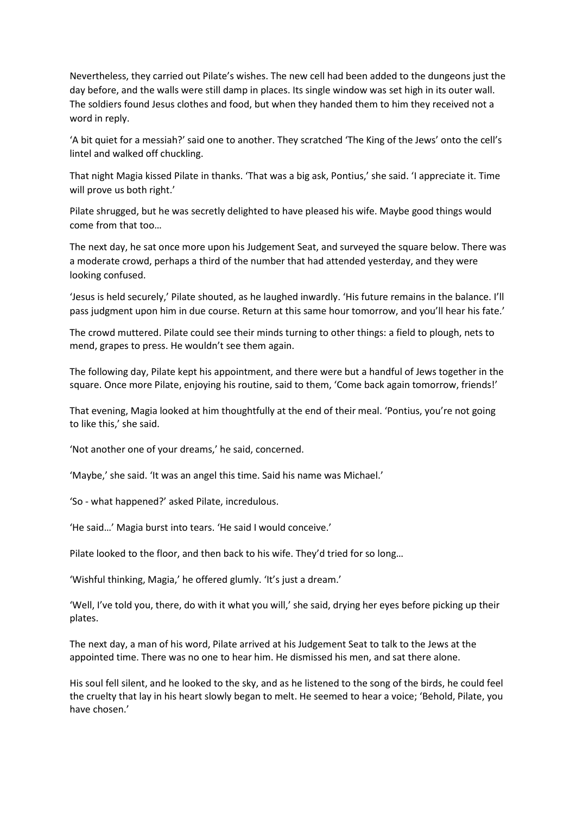Nevertheless, they carried out Pilate's wishes. The new cell had been added to the dungeons just the day before, and the walls were still damp in places. Its single window was set high in its outer wall. The soldiers found Jesus clothes and food, but when they handed them to him they received not a word in reply.

'A bit quiet for a messiah?' said one to another. They scratched 'The King of the Jews' onto the cell's lintel and walked off chuckling.

That night Magia kissed Pilate in thanks. 'That was a big ask, Pontius,' she said. 'I appreciate it. Time will prove us both right.'

Pilate shrugged, but he was secretly delighted to have pleased his wife. Maybe good things would come from that too…

The next day, he sat once more upon his Judgement Seat, and surveyed the square below. There was a moderate crowd, perhaps a third of the number that had attended yesterday, and they were looking confused.

'Jesus is held securely,' Pilate shouted, as he laughed inwardly. 'His future remains in the balance. I'll pass judgment upon him in due course. Return at this same hour tomorrow, and you'll hear his fate.'

The crowd muttered. Pilate could see their minds turning to other things: a field to plough, nets to mend, grapes to press. He wouldn't see them again.

The following day, Pilate kept his appointment, and there were but a handful of Jews together in the square. Once more Pilate, enjoying his routine, said to them, 'Come back again tomorrow, friends!'

That evening, Magia looked at him thoughtfully at the end of their meal. 'Pontius, you're not going to like this,' she said.

'Not another one of your dreams,' he said, concerned.

'Maybe,' she said. 'It was an angel this time. Said his name was Michael.'

'So - what happened?' asked Pilate, incredulous.

'He said…' Magia burst into tears. 'He said I would conceive.'

Pilate looked to the floor, and then back to his wife. They'd tried for so long…

'Wishful thinking, Magia,' he offered glumly. 'It's just a dream.'

'Well, I've told you, there, do with it what you will,' she said, drying her eyes before picking up their plates.

The next day, a man of his word, Pilate arrived at his Judgement Seat to talk to the Jews at the appointed time. There was no one to hear him. He dismissed his men, and sat there alone.

His soul fell silent, and he looked to the sky, and as he listened to the song of the birds, he could feel the cruelty that lay in his heart slowly began to melt. He seemed to hear a voice; 'Behold, Pilate, you have chosen.'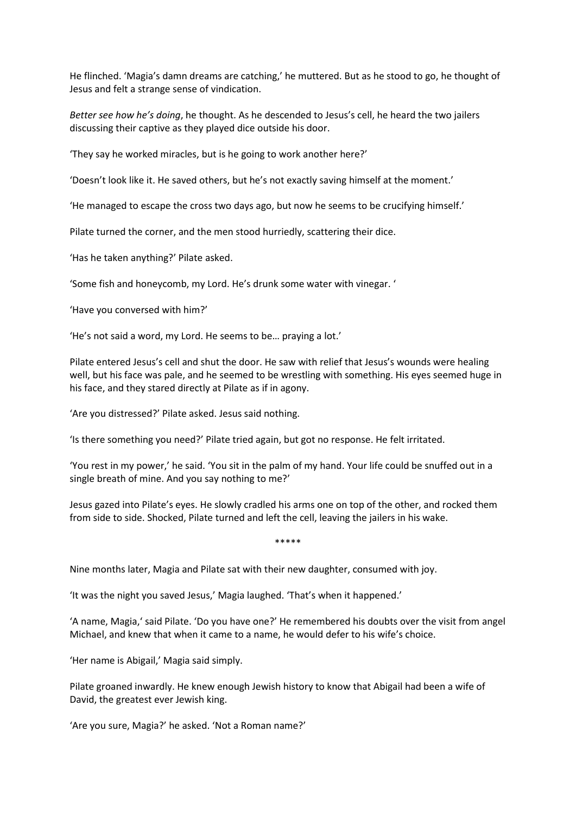He flinched. 'Magia's damn dreams are catching,' he muttered. But as he stood to go, he thought of Jesus and felt a strange sense of vindication.

*Better see how he's doing*, he thought. As he descended to Jesus's cell, he heard the two jailers discussing their captive as they played dice outside his door.

'They say he worked miracles, but is he going to work another here?'

'Doesn't look like it. He saved others, but he's not exactly saving himself at the moment.'

'He managed to escape the cross two days ago, but now he seems to be crucifying himself.'

Pilate turned the corner, and the men stood hurriedly, scattering their dice.

'Has he taken anything?' Pilate asked.

'Some fish and honeycomb, my Lord. He's drunk some water with vinegar. '

'Have you conversed with him?'

'He's not said a word, my Lord. He seems to be… praying a lot.'

Pilate entered Jesus's cell and shut the door. He saw with relief that Jesus's wounds were healing well, but his face was pale, and he seemed to be wrestling with something. His eyes seemed huge in his face, and they stared directly at Pilate as if in agony.

'Are you distressed?' Pilate asked. Jesus said nothing.

'Is there something you need?' Pilate tried again, but got no response. He felt irritated.

'You rest in my power,' he said. 'You sit in the palm of my hand. Your life could be snuffed out in a single breath of mine. And you say nothing to me?'

Jesus gazed into Pilate's eyes. He slowly cradled his arms one on top of the other, and rocked them from side to side. Shocked, Pilate turned and left the cell, leaving the jailers in his wake.

\*\*\*\*\*

Nine months later, Magia and Pilate sat with their new daughter, consumed with joy.

'It was the night you saved Jesus,' Magia laughed. 'That's when it happened.'

'A name, Magia,' said Pilate. 'Do you have one?' He remembered his doubts over the visit from angel Michael, and knew that when it came to a name, he would defer to his wife's choice.

'Her name is Abigail,' Magia said simply.

Pilate groaned inwardly. He knew enough Jewish history to know that Abigail had been a wife of David, the greatest ever Jewish king.

'Are you sure, Magia?' he asked. 'Not a Roman name?'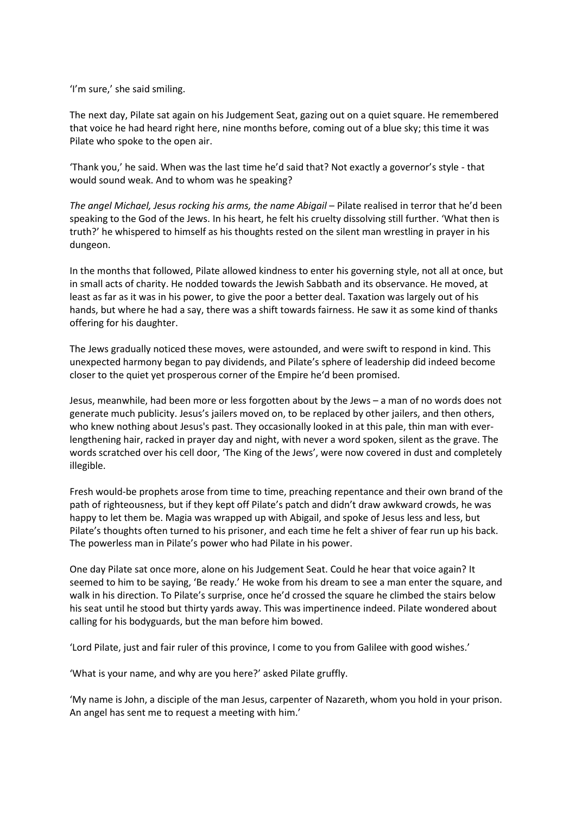'I'm sure,' she said smiling.

The next day, Pilate sat again on his Judgement Seat, gazing out on a quiet square. He remembered that voice he had heard right here, nine months before, coming out of a blue sky; this time it was Pilate who spoke to the open air.

'Thank you,' he said. When was the last time he'd said that? Not exactly a governor's style - that would sound weak. And to whom was he speaking?

*The angel Michael, Jesus rocking his arms, the name Abigail* – Pilate realised in terror that he'd been speaking to the God of the Jews. In his heart, he felt his cruelty dissolving still further. 'What then is truth?' he whispered to himself as his thoughts rested on the silent man wrestling in prayer in his dungeon.

In the months that followed, Pilate allowed kindness to enter his governing style, not all at once, but in small acts of charity. He nodded towards the Jewish Sabbath and its observance. He moved, at least as far as it was in his power, to give the poor a better deal. Taxation was largely out of his hands, but where he had a say, there was a shift towards fairness. He saw it as some kind of thanks offering for his daughter.

The Jews gradually noticed these moves, were astounded, and were swift to respond in kind. This unexpected harmony began to pay dividends, and Pilate's sphere of leadership did indeed become closer to the quiet yet prosperous corner of the Empire he'd been promised.

Jesus, meanwhile, had been more or less forgotten about by the Jews – a man of no words does not generate much publicity. Jesus's jailers moved on, to be replaced by other jailers, and then others, who knew nothing about Jesus's past. They occasionally looked in at this pale, thin man with everlengthening hair, racked in prayer day and night, with never a word spoken, silent as the grave. The words scratched over his cell door, 'The King of the Jews', were now covered in dust and completely illegible.

Fresh would-be prophets arose from time to time, preaching repentance and their own brand of the path of righteousness, but if they kept off Pilate's patch and didn't draw awkward crowds, he was happy to let them be. Magia was wrapped up with Abigail, and spoke of Jesus less and less, but Pilate's thoughts often turned to his prisoner, and each time he felt a shiver of fear run up his back. The powerless man in Pilate's power who had Pilate in his power.

One day Pilate sat once more, alone on his Judgement Seat. Could he hear that voice again? It seemed to him to be saying, 'Be ready.' He woke from his dream to see a man enter the square, and walk in his direction. To Pilate's surprise, once he'd crossed the square he climbed the stairs below his seat until he stood but thirty yards away. This was impertinence indeed. Pilate wondered about calling for his bodyguards, but the man before him bowed.

'Lord Pilate, just and fair ruler of this province, I come to you from Galilee with good wishes.'

'What is your name, and why are you here?' asked Pilate gruffly.

'My name is John, a disciple of the man Jesus, carpenter of Nazareth, whom you hold in your prison. An angel has sent me to request a meeting with him.'